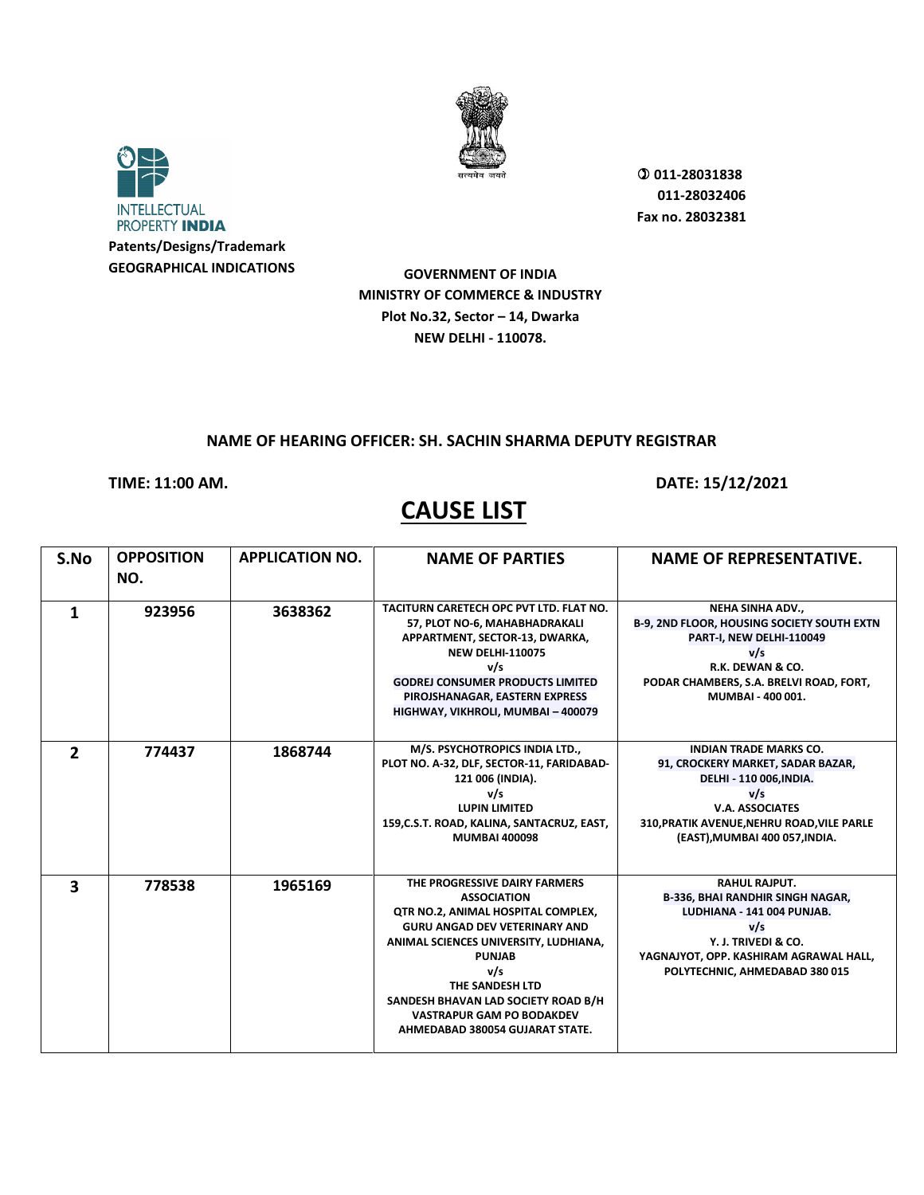



 **011-28031838 011-28032406 Fax no. 28032381**

**GOVERNMENT OF INDIA MINISTRY OF COMMERCE & INDUSTRY Plot No.32, Sector – 14, Dwarka NEW DELHI - 110078.**

#### **NAME OF HEARING OFFICER: SH. SACHIN SHARMA DEPUTY REGISTRAR**

### **TIME: 11:00 AM. DATE: 15/12/2021**

| S.No           | <b>OPPOSITION</b><br>NO. | <b>APPLICATION NO.</b> | <b>NAME OF PARTIES</b>                                                                                                                                                                                                                                                                                                              | <b>NAME OF REPRESENTATIVE.</b>                                                                                                                                                                                 |
|----------------|--------------------------|------------------------|-------------------------------------------------------------------------------------------------------------------------------------------------------------------------------------------------------------------------------------------------------------------------------------------------------------------------------------|----------------------------------------------------------------------------------------------------------------------------------------------------------------------------------------------------------------|
| 1              | 923956                   | 3638362                | TACITURN CARETECH OPC PVT LTD. FLAT NO.<br>57, PLOT NO-6, MAHABHADRAKALI<br>APPARTMENT, SECTOR-13, DWARKA,<br><b>NEW DELHI-110075</b><br>v/s<br><b>GODREJ CONSUMER PRODUCTS LIMITED</b><br>PIROJSHANAGAR, EASTERN EXPRESS<br>HIGHWAY, VIKHROLI, MUMBAI - 400079                                                                     | NEHA SINHA ADV.,<br><b>B-9, 2ND FLOOR, HOUSING SOCIETY SOUTH EXTN</b><br>PART-I, NEW DELHI-110049<br>v/s<br>R.K. DEWAN & CO.<br>PODAR CHAMBERS, S.A. BRELVI ROAD, FORT,<br>MUMBAI - 400 001.                   |
| $\overline{2}$ | 774437                   | 1868744                | M/S. PSYCHOTROPICS INDIA LTD.,<br>PLOT NO. A-32, DLF, SECTOR-11, FARIDABAD-<br>121 006 (INDIA).<br>v/s<br><b>LUPIN LIMITED</b><br>159, C.S.T. ROAD, KALINA, SANTACRUZ, EAST,<br><b>MUMBAI 400098</b>                                                                                                                                | <b>INDIAN TRADE MARKS CO.</b><br>91, CROCKERY MARKET, SADAR BAZAR,<br>DELHI - 110 006, INDIA.<br>v/s<br><b>V.A. ASSOCIATES</b><br>310, PRATIK AVENUE, NEHRU ROAD, VILE PARLE<br>(EAST), MUMBAI 400 057, INDIA. |
| 3              | 778538                   | 1965169                | THE PROGRESSIVE DAIRY FARMERS<br><b>ASSOCIATION</b><br>QTR NO.2, ANIMAL HOSPITAL COMPLEX,<br><b>GURU ANGAD DEV VETERINARY AND</b><br>ANIMAL SCIENCES UNIVERSITY, LUDHIANA,<br><b>PUNJAB</b><br>v/s<br>THE SANDESH LTD<br>SANDESH BHAVAN LAD SOCIETY ROAD B/H<br><b>VASTRAPUR GAM PO BODAKDEV</b><br>AHMEDABAD 380054 GUJARAT STATE. | <b>RAHUL RAJPUT.</b><br><b>B-336, BHAI RANDHIR SINGH NAGAR,</b><br>LUDHIANA - 141 004 PUNJAB.<br>v/s<br>Y. J. TRIVEDI & CO.<br>YAGNAJYOT, OPP. KASHIRAM AGRAWAL HALL,<br>POLYTECHNIC, AHMEDABAD 380 015        |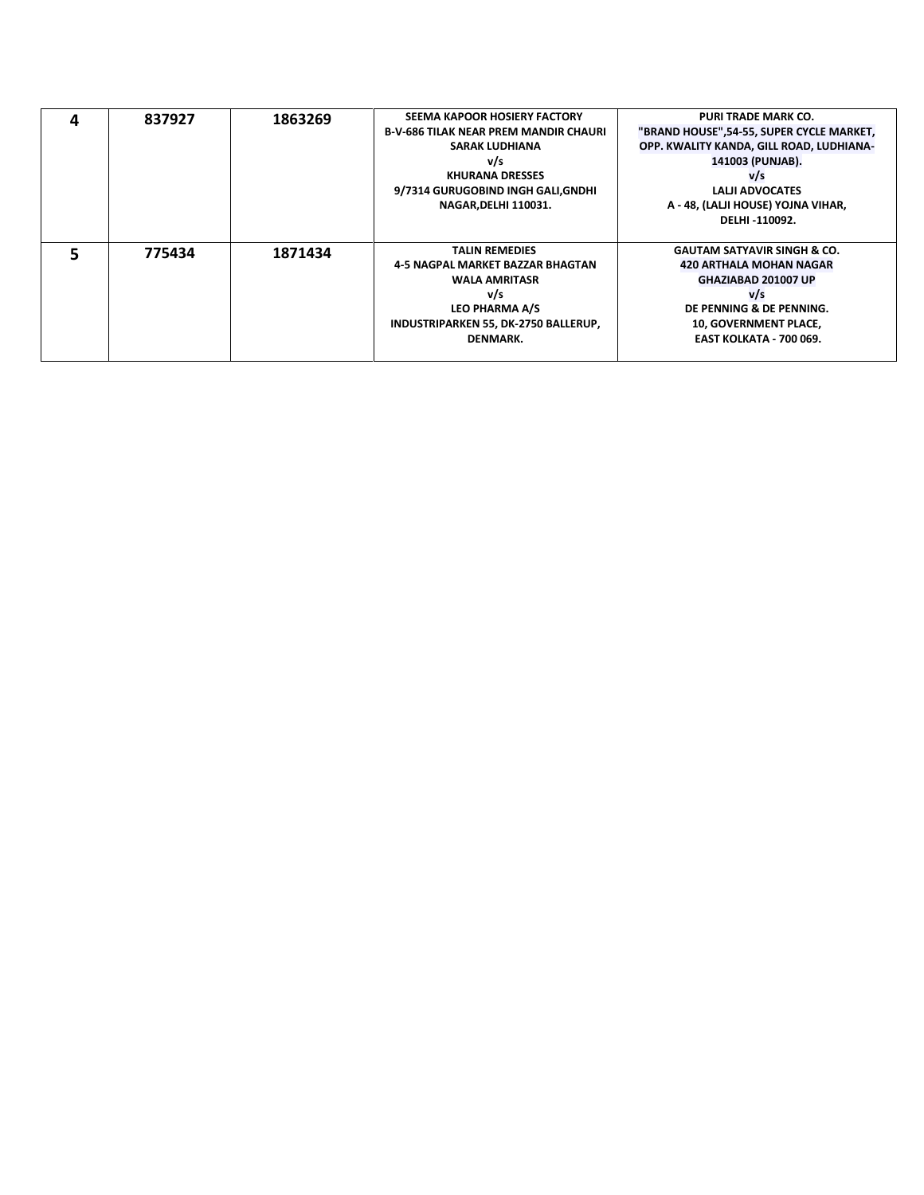| 837927 | 1863269 | SEEMA KAPOOR HOSIERY FACTORY                 | <b>PURI TRADE MARK CO.</b>               |
|--------|---------|----------------------------------------------|------------------------------------------|
|        |         | <b>B-V-686 TILAK NEAR PREM MANDIR CHAURI</b> | "BRAND HOUSE",54-55, SUPER CYCLE MARKET, |
|        |         | <b>SARAK LUDHIANA</b>                        | OPP. KWALITY KANDA, GILL ROAD, LUDHIANA- |
|        |         | v/s                                          | 141003 (PUNJAB).                         |
|        |         | <b>KHURANA DRESSES</b>                       | v/s                                      |
|        |         | 9/7314 GURUGOBIND INGH GALI,GNDHI            | LALII ADVOCATES                          |
|        |         | <b>NAGAR, DELHI 110031.</b>                  | A - 48, (LALJI HOUSE) YOJNA VIHAR,       |
|        |         |                                              | DELHI-110092.                            |
|        |         |                                              |                                          |
| 775434 | 1871434 | <b>TALIN REMEDIES</b>                        | <b>GAUTAM SATYAVIR SINGH &amp; CO.</b>   |
|        |         | 4-5 NAGPAL MARKET BAZZAR BHAGTAN             | <b>420 ARTHALA MOHAN NAGAR</b>           |
|        |         | <b>WALA AMRITASR</b>                         | GHAZIABAD 201007 UP                      |
|        |         | v/s                                          | v/s                                      |
|        |         | LEO PHARMA A/S                               | DE PENNING & DE PENNING.                 |
|        |         | INDUSTRIPARKEN 55, DK-2750 BALLERUP,         | 10, GOVERNMENT PLACE,                    |
|        |         | DENMARK.                                     | <b>EAST KOLKATA - 700 069.</b>           |
|        |         |                                              |                                          |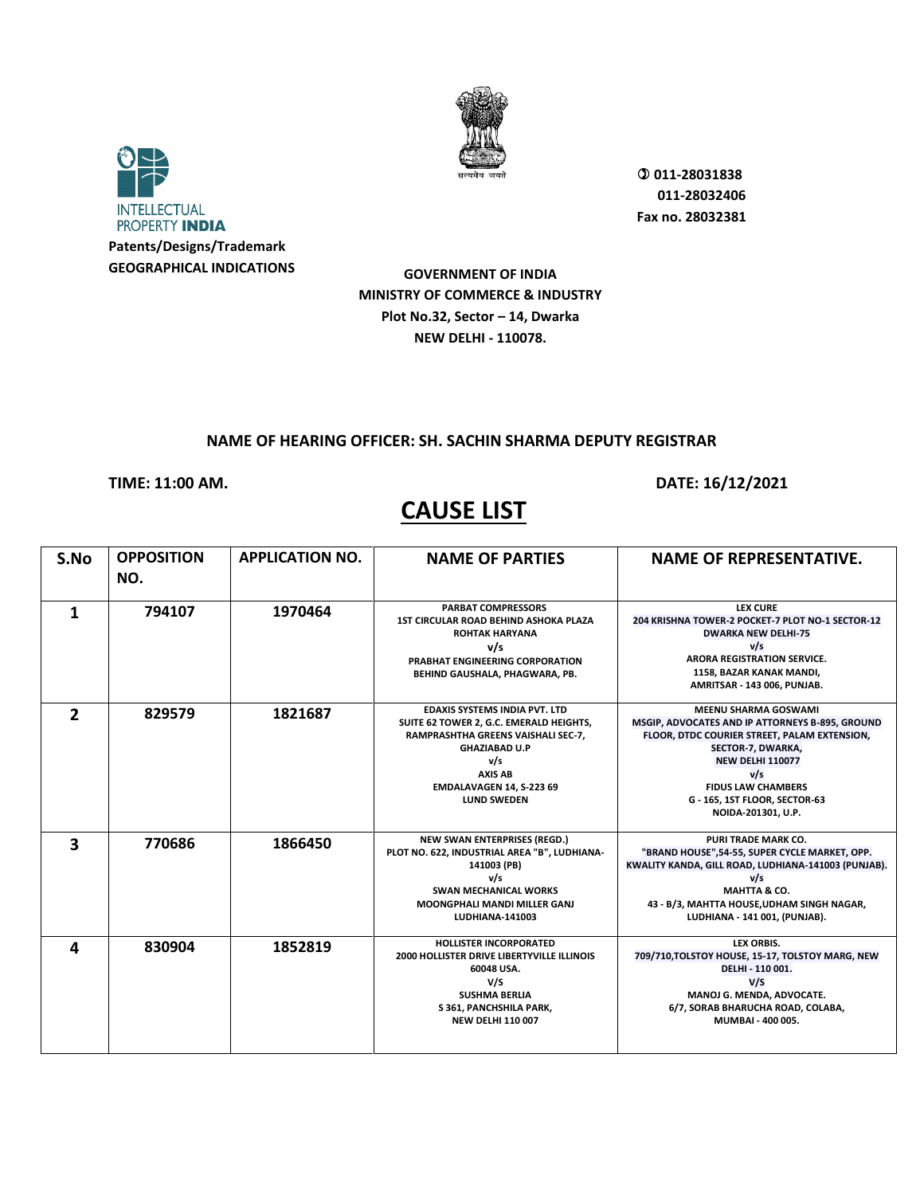



 **011-28031838 011-28032406 Fax no. 28032381**

**GOVERNMENT OF INDIA MINISTRY OF COMMERCE & INDUSTRY Plot No.32, Sector – 14, Dwarka NEW DELHI - 110078.**

#### **NAME OF HEARING OFFICER: SH. SACHIN SHARMA DEPUTY REGISTRAR**

**TIME: 11:00 AM. DATE: 16/12/2021** 

# **CAUSE LIST**

**S.No OPPOSITION NO. APPLICATION NO. NAME OF PARTIES NAME OF REPRESENTATIVE. 1 1970464 PARBAT COMPRESSORS**<br>
1ST CIRCULAR ROAD BEHIND ASHOKA PLAZA **ROHTAK HARYANA v/s PRABHAT ENGINEERING CORPORATION BEHIND GAUSHALA, PHAGWARA, PB. LEX CURE 204 KRISHNA TOWER-2 POCKET-7 PLOT NO-1 SECTOR-12 DWARKA NEW DELHI-75 v/s ARORA REGISTRATION SERVICE. 1158, BAZAR KANAK MANDI, AMRITSAR - 143 006, PUNJAB. 2 829579 1821687 EDAXIS SYSTEMS INDIA PVT. LTD SUITE 62 TOWER 2, G.C. EMERALD HEIGHTS, RAMPRASHTHA GREENS VAISHALI SEC-7, GHAZIABAD U.P v/s AXIS AB EMDALAVAGEN 14, S-223 69 LUND SWEDEN MEENU SHARMA GOSWAMI MSGIP, ADVOCATES AND IP ATTORNEYS B-895, GROUND FLOOR, DTDC COURIER STREET, PALAM EXTENSION, SECTOR-7, DWARKA, NEW DELHI 110077 v/s FIDUS LAW CHAMBERS G - 165, 1ST FLOOR, SECTOR-63 NOIDA-201301, U.P. 3 1866450 1870686 1866450 NEW SWAN ENTERPRISES (REGD.)**<br>
PLOT NO. 622, INDUSTRIAL AREA "B", LUDHIANA-**141003 (PB) v/s SWAN MECHANICAL WORKS MOONGPHALI MANDI MILLER GANJ LUDHIANA-141003 PURI TRADE MARK CO. "BRAND HOUSE",54-55, SUPER CYCLE MARKET, OPP. KWALITY KANDA, GILL ROAD, LUDHIANA-141003 (PUNJAB). v/s MAHTTA & CO. 43 - B/3, MAHTTA HOUSE,UDHAM SINGH NAGAR, LUDHIANA - 141 001, (PUNJAB). 4 830904 1852819 HOLLISTER INCORPORATED 2000 HOLLISTER DRIVE LIBERTYVILLE ILLINOIS 60048 USA. V/S SUSHMA BERLIA S 361, PANCHSHILA PARK, NEW DELHI 110 007 LEX ORBIS. 709/710,TOLSTOY HOUSE, 15-17, TOLSTOY MARG, NEW DELHI - 110 001. V/S MANOJ G. MENDA, ADVOCATE. 6/7, SORAB BHARUCHA ROAD, COLABA, MUMBAI - 400 005.**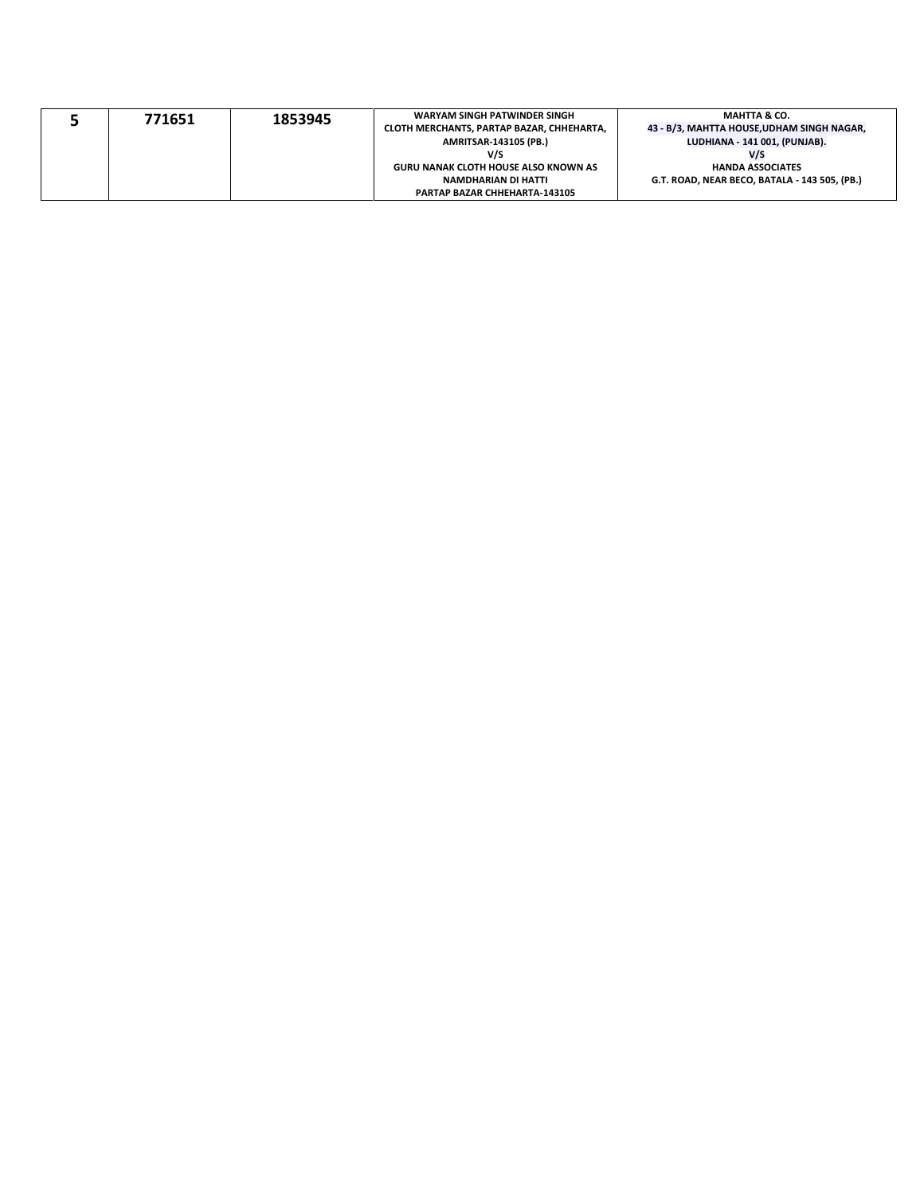|  | 771651 | 1853945 | WARYAM SINGH PATWINDER SINGH                | <b>MAHTTA &amp; CO.</b>                       |
|--|--------|---------|---------------------------------------------|-----------------------------------------------|
|  |        |         | CLOTH MERCHANTS. PARTAP BAZAR. CHHEHARTA.   | 43 - B/3, MAHTTA HOUSE,UDHAM SINGH NAGAR,     |
|  |        |         | <b>AMRITSAR-143105 (PB.)</b>                | LUDHIANA - 141 001, (PUNJAB).                 |
|  |        |         | V/S                                         | V/S                                           |
|  |        |         | <b>GURU NANAK CLOTH HOUSE ALSO KNOWN AS</b> | <b>HANDA ASSOCIATES</b>                       |
|  |        |         | NAMDHARIAN DI HATTI                         | G.T. ROAD. NEAR BECO. BATALA - 143 505. (PB.) |
|  |        |         | <b>PARTAP BAZAR CHHEHARTA-143105</b>        |                                               |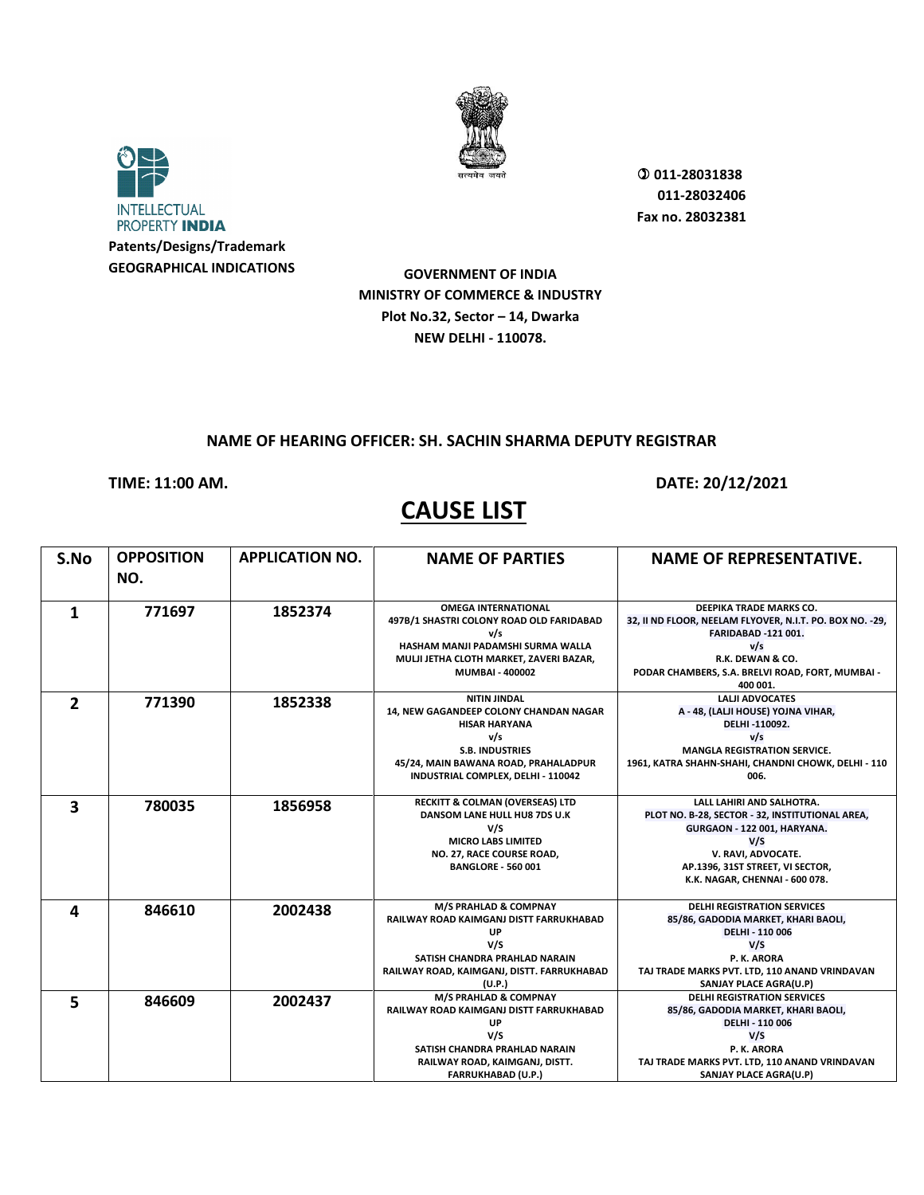



**GEOGRAPHICAL INDICATIONS**

 **011-28031838 011-28032406 Fax no. 28032381**

**GOVERNMENT OF INDIA MINISTRY OF COMMERCE & INDUSTRY Plot No.32, Sector – 14, Dwarka NEW DELHI - 110078.**

#### **NAME OF HEARING OFFICER: SH. SACHIN SHARMA DEPUTY REGISTRAR**

**TIME: 11:00 AM. DATE: 20/12/2021** 

# **CAUSE LIST**

**S.No OPPOSITION NO. APPLICATION NO. NAME OF PARTIES NAME OF REPRESENTATIVE. 1 1852374 OMEGA INTERNATIONAL**<br>
497B/1 SHASTRI COLONY ROAD OLD FARIDABAD **v/s HASHAM MANJI PADAMSHI SURMA WALLA MULJI JETHA CLOTH MARKET, ZAVERI BAZAR, MUMBAI - 400002 DEEPIKA TRADE MARKS CO. 32, II ND FLOOR, NEELAM FLYOVER, N.I.T. PO. BOX NO. -29, FARIDABAD -121 001. v/s R.K. DEWAN & CO. PODAR CHAMBERS, S.A. BRELVI ROAD, FORT, MUMBAI - 400 001. 2 1852338 NITIN JINDAL 1852338 NITIN JINDAL 14, NEW GAGANDEEP COLONY CHANDAN NAGAR HISAR HARYANA v/s S.B. INDUSTRIES 45/24, MAIN BAWANA ROAD, PRAHALADPUR INDUSTRIAL COMPLEX, DELHI - 110042 LALJI ADVOCATES A - 48, (LALJI HOUSE) YOJNA VIHAR, DELHI -110092. v/s MANGLA REGISTRATION SERVICE. 1961, KATRA SHAHN-SHAHI, CHANDNI CHOWK, DELHI - 110 006. 3 780035 1856958 RECKITT & COLMAN (OVERSEAS) LTD DANSOM LANE HULL HU8 7DS U.K V/S MICRO LABS LIMITED NO. 27, RACE COURSE ROAD, BANGLORE - 560 001 LALL LAHIRI AND SALHOTRA. PLOT NO. B-28, SECTOR - 32, INSTITUTIONAL AREA, GURGAON - 122 001, HARYANA. V/S V. RAVI, ADVOCATE. AP.1396, 31ST STREET, VI SECTOR, K.K. NAGAR, CHENNAI - 600 078. 4 846610 2002438 M/S PRAHLAD & COMPNAY RAILWAY ROAD KAIMGANJ DISTT FARRUKHABAD UP V/S SATISH CHANDRA PRAHLAD NARAIN RAILWAY ROAD, KAIMGANJ, DISTT. FARRUKHABAD (U.P.) DELHI REGISTRATION SERVICES 85/86, GADODIA MARKET, KHARI BAOLI, DELHI - 110 006 V/S P. K. ARORA TAJ TRADE MARKS PVT. LTD, 110 ANAND VRINDAVAN SANJAY PLACE AGRA(U.P) 5 846609 2002437 M/S PRAHLAD & COMPNAY RAILWAY ROAD KAIMGANJ DISTT FARRUKHABAD UP V/S SATISH CHANDRA PRAHLAD NARAIN RAILWAY ROAD, KAIMGANJ, DISTT. FARRUKHABAD (U.P.) DELHI REGISTRATION SERVICES 85/86, GADODIA MARKET, KHARI BAOLI, DELHI - 110 006 V/S P. K. ARORA TAJ TRADE MARKS PVT. LTD, 110 ANAND VRINDAVAN SANJAY PLACE AGRA(U.P)**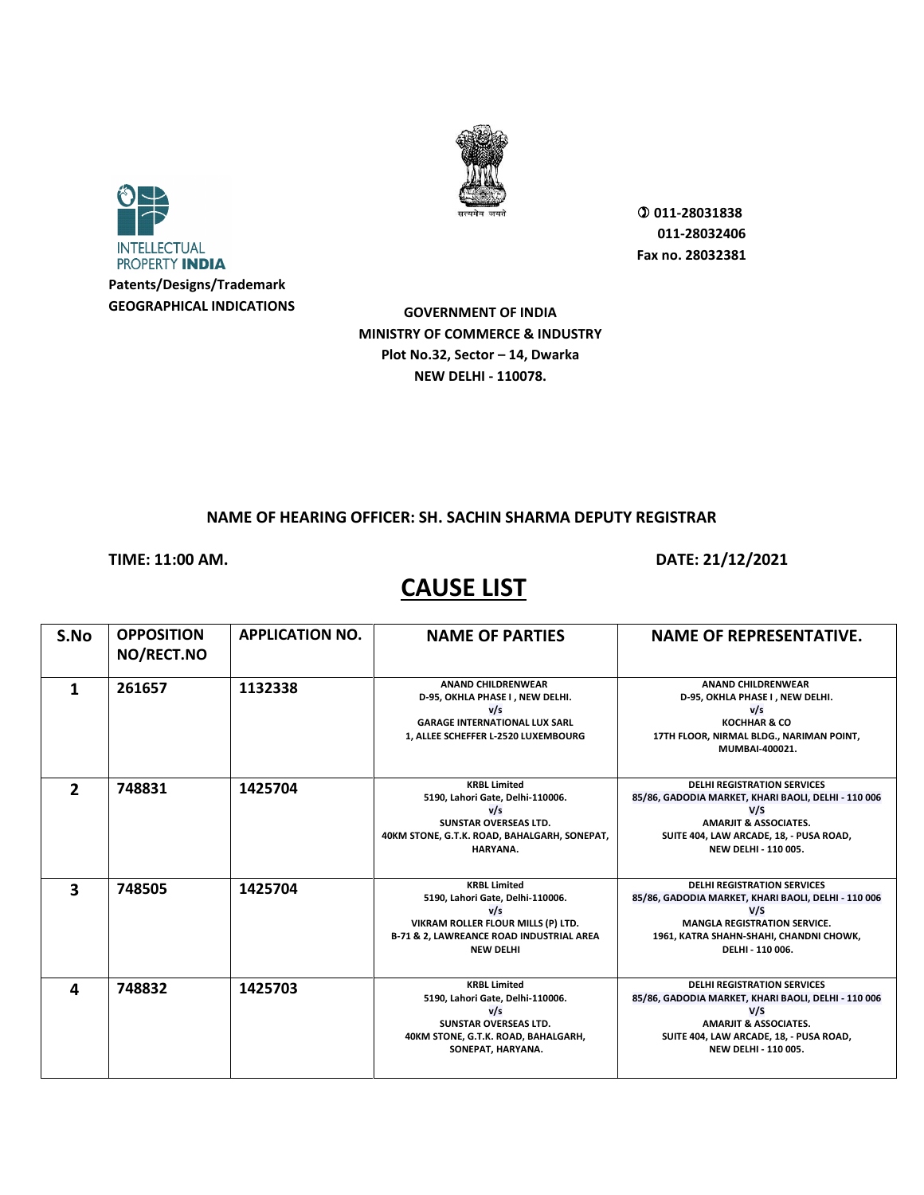



**GOVERNMENT OF INDIA MINISTRY OF COMMERCE & INDUSTRY Plot No.32, Sector – 14, Dwarka NEW DELHI - 110078.**

#### **NAME OF HEARING OFFICER: SH. SACHIN SHARMA DEPUTY REGISTRAR**

**TIME: 11:00 AM. DATE: 21/12/2021** 

| S.No                    | <b>OPPOSITION</b><br>NO/RECT.NO | <b>APPLICATION NO.</b> | <b>NAME OF PARTIES</b>                                                                                                                                                          | <b>NAME OF REPRESENTATIVE.</b>                                                                                                                                                                                 |
|-------------------------|---------------------------------|------------------------|---------------------------------------------------------------------------------------------------------------------------------------------------------------------------------|----------------------------------------------------------------------------------------------------------------------------------------------------------------------------------------------------------------|
| 1                       | 261657                          | 1132338                | <b>ANAND CHILDRENWEAR</b><br>D-95, OKHLA PHASE I, NEW DELHI.<br>v/s<br><b>GARAGE INTERNATIONAL LUX SARL</b><br>1, ALLEE SCHEFFER L-2520 LUXEMBOURG                              | <b>ANAND CHILDRENWEAR</b><br>D-95, OKHLA PHASE I, NEW DELHI.<br>v/s<br><b>KOCHHAR &amp; CO</b><br>17TH FLOOR, NIRMAL BLDG., NARIMAN POINT,<br>MUMBAI-400021.                                                   |
| $\overline{2}$          | 748831                          | 1425704                | <b>KRBL Limited</b><br>5190, Lahori Gate, Delhi-110006.<br>v/s<br><b>SUNSTAR OVERSEAS LTD.</b><br>40KM STONE, G.T.K. ROAD, BAHALGARH, SONEPAT,<br>HARYANA.                      | <b>DELHI REGISTRATION SERVICES</b><br>85/86, GADODIA MARKET, KHARI BAOLI, DELHI - 110 006<br>V/S<br><b>AMARJIT &amp; ASSOCIATES.</b><br>SUITE 404, LAW ARCADE, 18, - PUSA ROAD,<br><b>NEW DELHI - 110 005.</b> |
| $\overline{\mathbf{3}}$ | 748505                          | 1425704                | <b>KRBL Limited</b><br>5190, Lahori Gate, Delhi-110006.<br>V/s<br>VIKRAM ROLLER FLOUR MILLS (P) LTD.<br><b>B-71 &amp; 2, LAWREANCE ROAD INDUSTRIAL AREA</b><br><b>NEW DELHI</b> | <b>DELHI REGISTRATION SERVICES</b><br>85/86, GADODIA MARKET, KHARI BAOLI, DELHI - 110 006<br>V/S<br><b>MANGLA REGISTRATION SERVICE.</b><br>1961, KATRA SHAHN-SHAHI, CHANDNI CHOWK,<br>DELHI - 110 006.         |
| 4                       | 748832                          | 1425703                | <b>KRBL Limited</b><br>5190, Lahori Gate, Delhi-110006.<br>v/s<br><b>SUNSTAR OVERSEAS LTD.</b><br>40KM STONE, G.T.K. ROAD, BAHALGARH,<br>SONEPAT, HARYANA.                      | <b>DELHI REGISTRATION SERVICES</b><br>85/86, GADODIA MARKET, KHARI BAOLI, DELHI - 110 006<br>V/S<br><b>AMARJIT &amp; ASSOCIATES.</b><br>SUITE 404, LAW ARCADE, 18, - PUSA ROAD,<br>NEW DELHI - 110 005.        |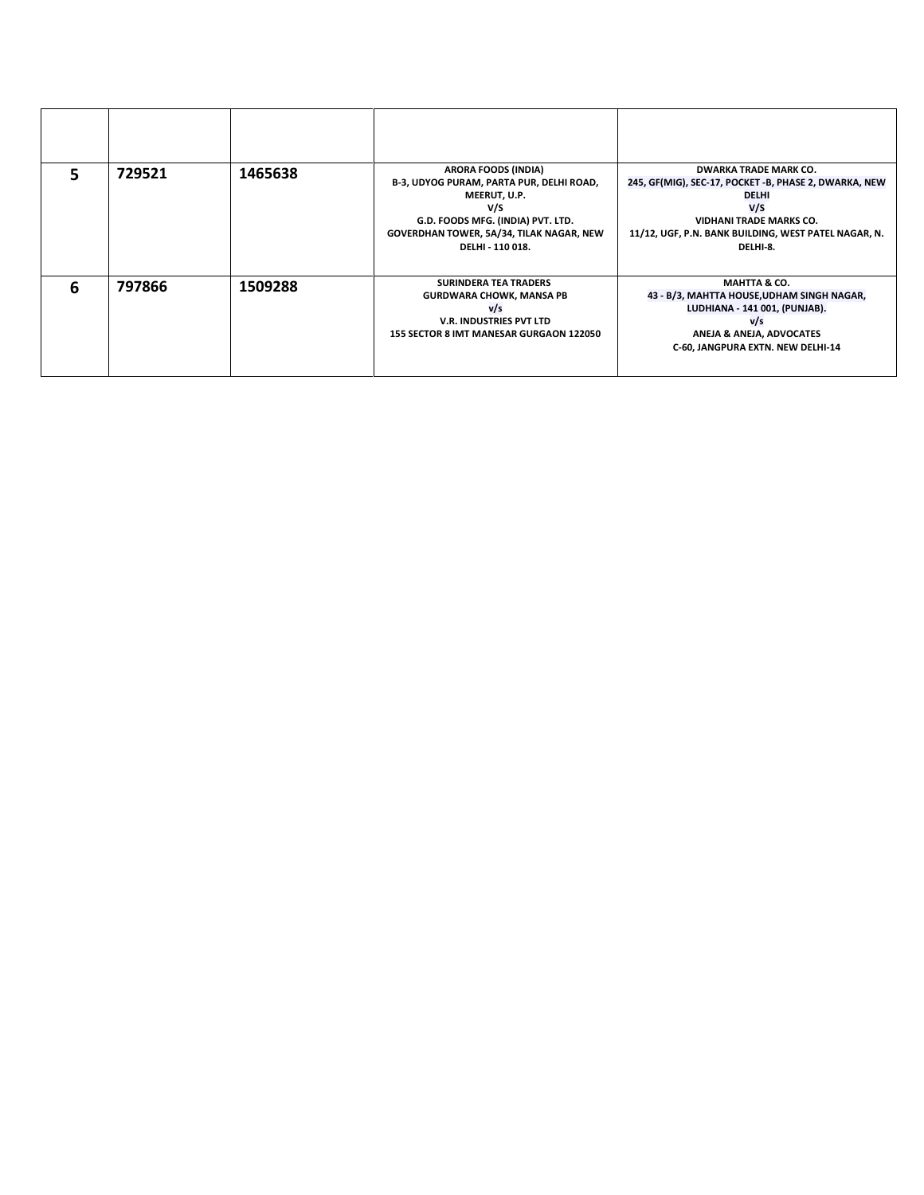|   | 729521 | 1465638 | ARORA FOODS (INDIA)<br>B-3, UDYOG PURAM, PARTA PUR, DELHI ROAD,<br>MEERUT, U.P.<br>V/S<br>G.D. FOODS MFG. (INDIA) PVT. LTD.<br>GOVERDHAN TOWER, 5A/34, TILAK NAGAR, NEW<br>DELHI - 110 018. | <b>DWARKA TRADE MARK CO.</b><br>245, GF(MIG), SEC-17, POCKET -B, PHASE 2, DWARKA, NEW<br><b>DELHI</b><br>V/S<br><b>VIDHANI TRADE MARKS CO.</b><br>11/12, UGF, P.N. BANK BUILDING, WEST PATEL NAGAR, N.<br>DELHI-8. |
|---|--------|---------|---------------------------------------------------------------------------------------------------------------------------------------------------------------------------------------------|--------------------------------------------------------------------------------------------------------------------------------------------------------------------------------------------------------------------|
| 6 | 797866 | 1509288 | <b>SURINDERA TEA TRADERS</b><br><b>GURDWARA CHOWK, MANSA PB</b><br>v/s<br><b>V.R. INDUSTRIES PVT LTD</b><br>155 SECTOR 8 IMT MANESAR GURGAON 122050                                         | <b>MAHTTA &amp; CO.</b><br>43 - B/3, MAHTTA HOUSE, UDHAM SINGH NAGAR,<br>LUDHIANA - 141 001, (PUNJAB).<br>v/s<br>ANEJA & ANEJA, ADVOCATES<br>C-60, JANGPURA EXTN. NEW DELHI-14                                     |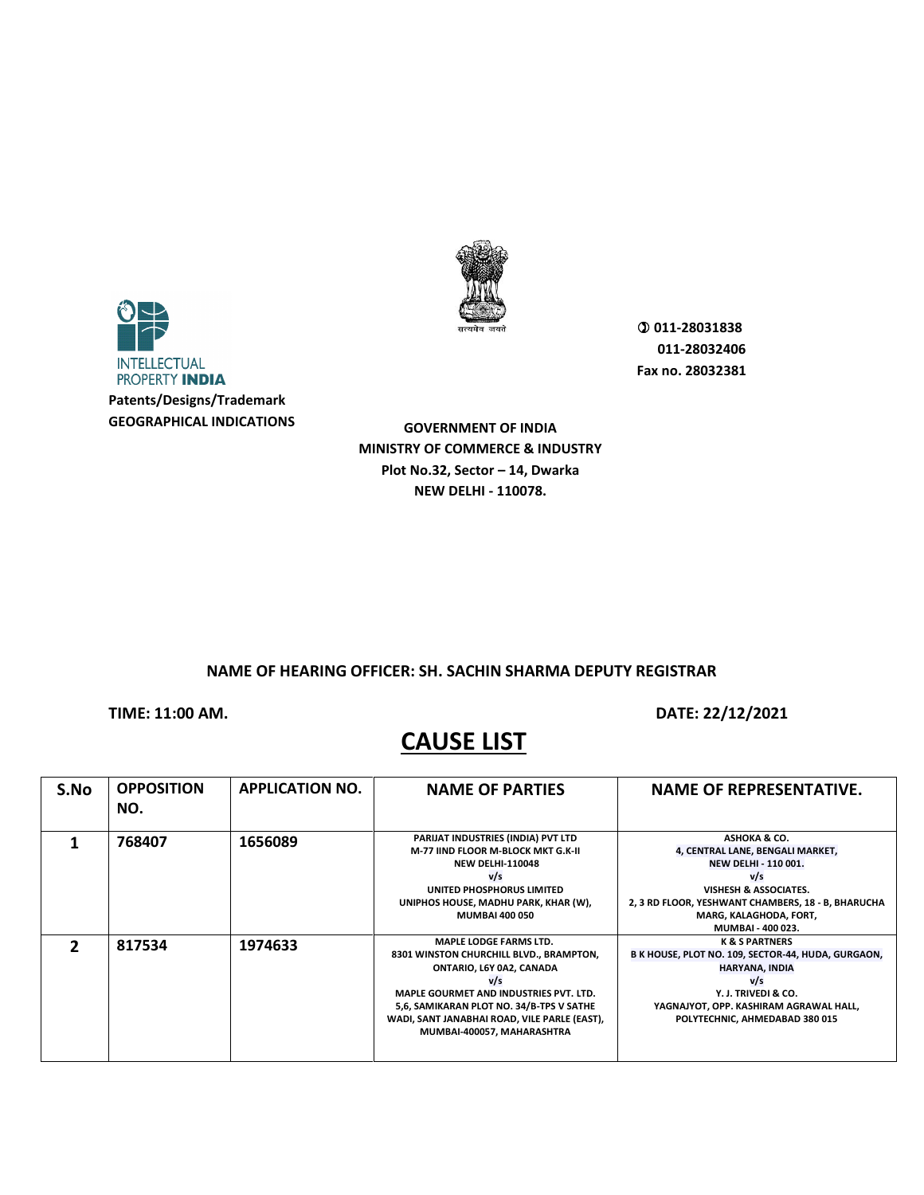

**GOVERNMENT OF INDIA MINISTRY OF COMMERCE & INDUSTRY Plot No.32, Sector – 14, Dwarka NEW DELHI - 110078.**

**NAME OF HEARING OFFICER: SH. SACHIN SHARMA DEPUTY REGISTRAR**

**TIME: 11:00 AM. DATE: 22/12/2021** 

| S.No | <b>OPPOSITION</b><br>NO. | <b>APPLICATION NO.</b> | <b>NAME OF PARTIES</b>                                                                                                                                                                                                                                                                 | <b>NAME OF REPRESENTATIVE.</b>                                                                                                                                                                                                  |
|------|--------------------------|------------------------|----------------------------------------------------------------------------------------------------------------------------------------------------------------------------------------------------------------------------------------------------------------------------------------|---------------------------------------------------------------------------------------------------------------------------------------------------------------------------------------------------------------------------------|
|      | 768407                   | 1656089                | PARIJAT INDUSTRIES (INDIA) PVT LTD<br>M-77 JIND FLOOR M-BLOCK MKT G.K-II<br><b>NEW DELHI-110048</b><br>v/s<br>UNITED PHOSPHORUS LIMITED<br>UNIPHOS HOUSE, MADHU PARK, KHAR (W),<br><b>MUMBAI 400 050</b>                                                                               | ASHOKA & CO.<br>4, CENTRAL LANE, BENGALI MARKET,<br><b>NEW DELHI - 110 001.</b><br>v/s<br><b>VISHESH &amp; ASSOCIATES.</b><br>2, 3 RD FLOOR, YESHWANT CHAMBERS, 18 - B, BHARUCHA<br>MARG, KALAGHODA, FORT,<br>MUMBAI - 400 023. |
|      | 817534                   | 1974633                | <b>MAPLE LODGE FARMS LTD.</b><br>8301 WINSTON CHURCHILL BLVD., BRAMPTON,<br>ONTARIO, L6Y 0A2, CANADA<br>v/s<br><b>MAPLE GOURMET AND INDUSTRIES PVT. LTD.</b><br>5,6, SAMIKARAN PLOT NO. 34/B-TPS V SATHE<br>WADI, SANT JANABHAI ROAD, VILE PARLE (EAST),<br>MUMBAI-400057, MAHARASHTRA | <b>K &amp; S PARTNERS</b><br>B K HOUSE, PLOT NO. 109, SECTOR-44, HUDA, GURGAON,<br>HARYANA, INDIA<br>V/s<br>Y. J. TRIVEDI & CO.<br>YAGNAJYOT, OPP. KASHIRAM AGRAWAL HALL,<br>POLYTECHNIC, AHMEDABAD 380 015                     |

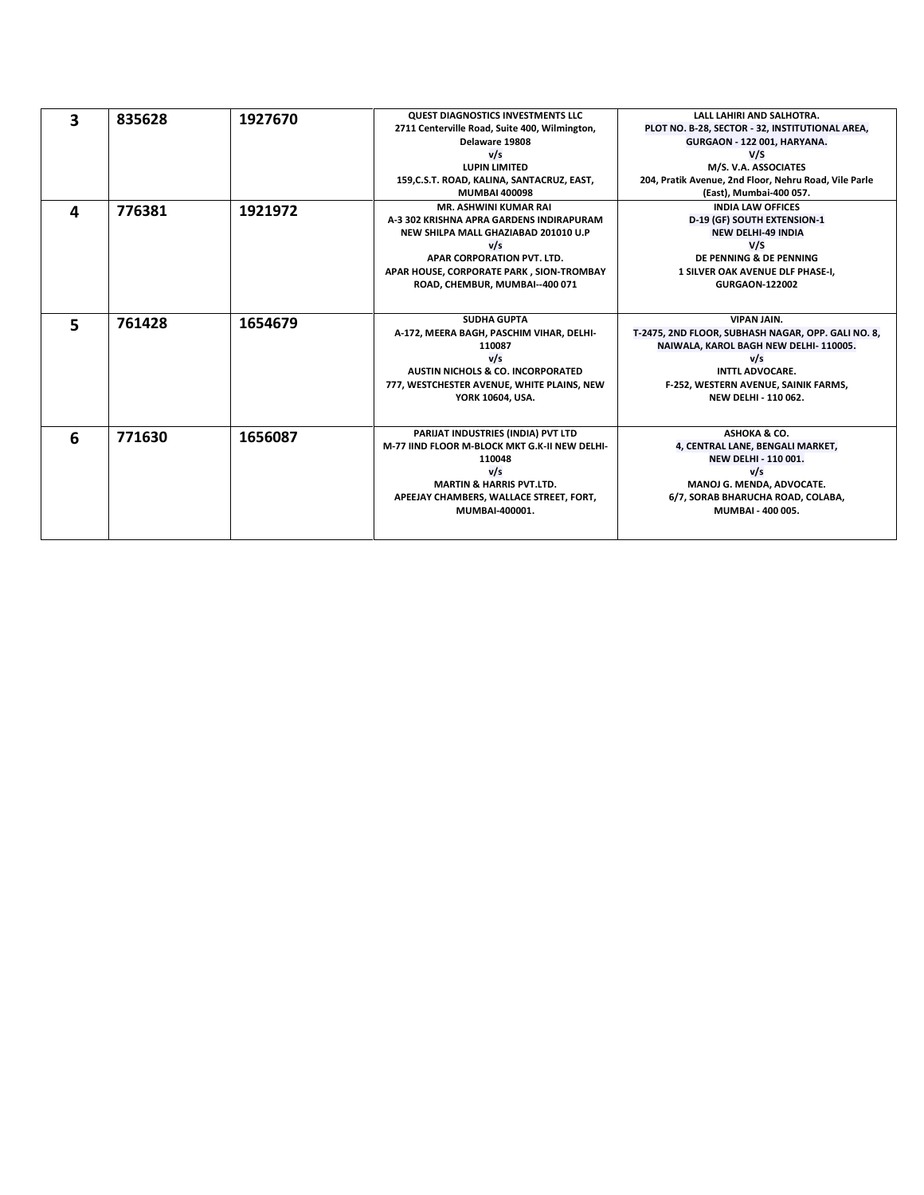| 3 | 835628 | 1927670 | <b>QUEST DIAGNOSTICS INVESTMENTS LLC</b>                                            | LALL LAHIRI AND SALHOTRA.                              |
|---|--------|---------|-------------------------------------------------------------------------------------|--------------------------------------------------------|
|   |        |         | 2711 Centerville Road, Suite 400, Wilmington,                                       | PLOT NO. B-28, SECTOR - 32, INSTITUTIONAL AREA,        |
|   |        |         | Delaware 19808                                                                      | GURGAON - 122 001, HARYANA.                            |
|   |        |         | v/s                                                                                 | V/S                                                    |
|   |        |         | <b>LUPIN LIMITED</b>                                                                | M/S. V.A. ASSOCIATES                                   |
|   |        |         | 159, C.S.T. ROAD, KALINA, SANTACRUZ, EAST,                                          | 204, Pratik Avenue, 2nd Floor, Nehru Road, Vile Parle  |
|   |        |         | <b>MUMBAI 400098</b>                                                                | (East), Mumbai-400 057.                                |
| 4 | 776381 | 1921972 | <b>MR. ASHWINI KUMAR RAI</b>                                                        | <b>INDIA LAW OFFICES</b>                               |
|   |        |         | A-3 302 KRISHNA APRA GARDENS INDIRAPURAM                                            | D-19 (GF) SOUTH EXTENSION-1                            |
|   |        |         | NEW SHILPA MALL GHAZIABAD 201010 U.P                                                | <b>NEW DELHI-49 INDIA</b>                              |
|   |        |         | v/s                                                                                 | V/S                                                    |
|   |        |         | APAR CORPORATION PVT. LTD.                                                          | DE PENNING & DE PENNING                                |
|   |        |         | APAR HOUSE, CORPORATE PARK, SION-TROMBAY                                            | 1 SILVER OAK AVENUE DLF PHASE-I,                       |
|   |        |         | ROAD, CHEMBUR, MUMBAI--400 071                                                      | <b>GURGAON-122002</b>                                  |
|   |        |         |                                                                                     |                                                        |
|   |        |         | <b>SUDHA GUPTA</b>                                                                  | <b>VIPAN JAIN.</b>                                     |
| 5 | 761428 | 1654679 | A-172, MEERA BAGH, PASCHIM VIHAR, DELHI-                                            | T-2475, 2ND FLOOR, SUBHASH NAGAR, OPP. GALI NO. 8,     |
|   |        |         | 110087                                                                              | NAIWALA, KAROL BAGH NEW DELHI-110005.                  |
|   |        |         | v/s                                                                                 | v/s                                                    |
|   |        |         | <b>AUSTIN NICHOLS &amp; CO. INCORPORATED</b>                                        | <b>INTTL ADVOCARE.</b>                                 |
|   |        |         | 777, WESTCHESTER AVENUE, WHITE PLAINS, NEW                                          | F-252, WESTERN AVENUE, SAINIK FARMS,                   |
|   |        |         | YORK 10604, USA.                                                                    | <b>NEW DELHI - 110 062.</b>                            |
|   |        |         |                                                                                     |                                                        |
|   |        |         |                                                                                     |                                                        |
| 6 | 771630 | 1656087 | PARIJAT INDUSTRIES (INDIA) PVT LTD<br>M-77 JIND FLOOR M-BLOCK MKT G.K-II NEW DELHI- | ASHOKA & CO.<br>4, CENTRAL LANE, BENGALI MARKET,       |
|   |        |         | 110048                                                                              | <b>NEW DELHI - 110 001.</b>                            |
|   |        |         |                                                                                     | v/s                                                    |
|   |        |         | V/s<br><b>MARTIN &amp; HARRIS PVT.LTD.</b>                                          |                                                        |
|   |        |         |                                                                                     | MANOJ G. MENDA, ADVOCATE.                              |
|   |        |         | APEEJAY CHAMBERS, WALLACE STREET, FORT,<br>MUMBAI-400001.                           | 6/7, SORAB BHARUCHA ROAD, COLABA,<br>MUMBAI - 400 005. |
|   |        |         |                                                                                     |                                                        |
|   |        |         |                                                                                     |                                                        |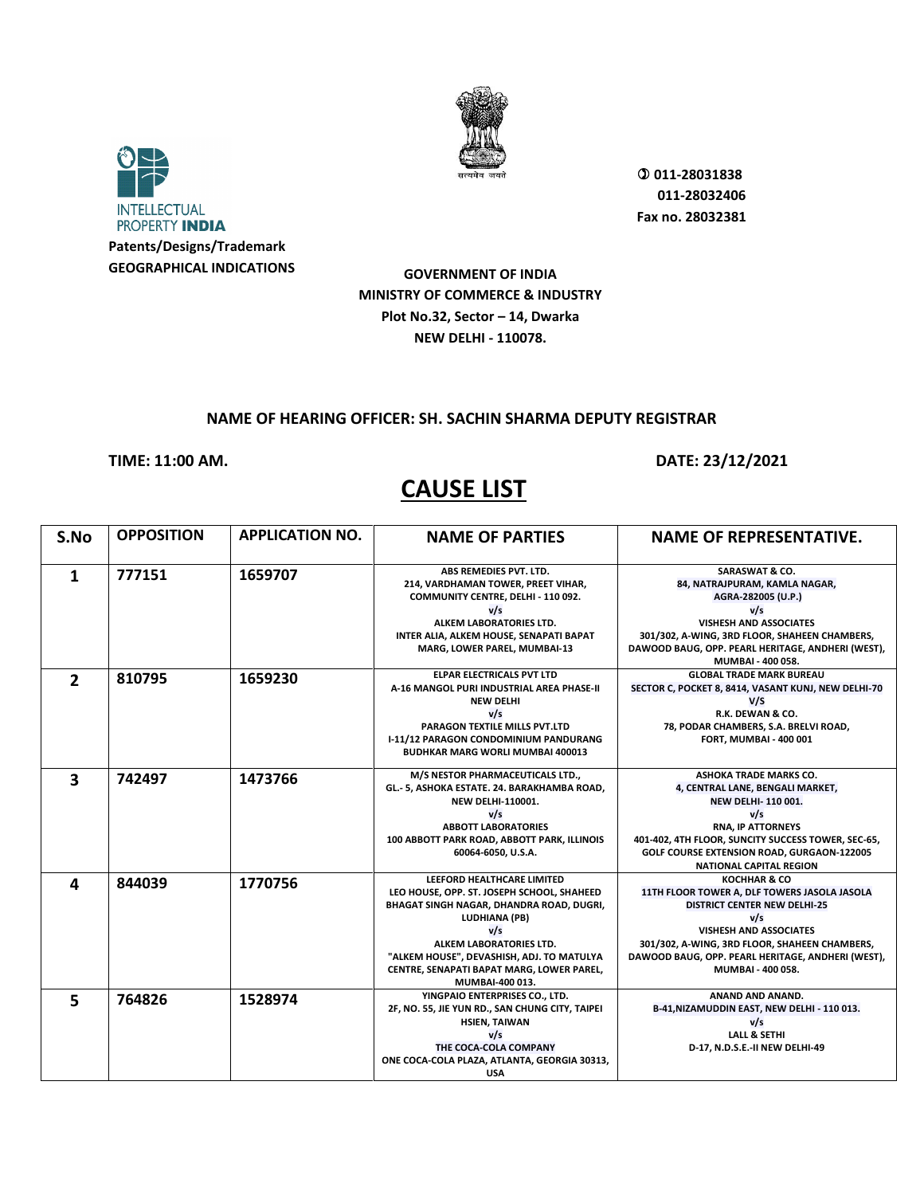



**Patents/Designs/Trademark GEOGRAPHICAL INDICATIONS**

**GOVERNMENT OF INDIA MINISTRY OF COMMERCE & INDUSTRY Plot No.32, Sector – 14, Dwarka NEW DELHI - 110078.**

#### **NAME OF HEARING OFFICER: SH. SACHIN SHARMA DEPUTY REGISTRAR**

#### **TIME: 11:00 AM. DATE: 23/12/2021**

| S.No                    | <b>OPPOSITION</b> | <b>APPLICATION NO.</b> | <b>NAME OF PARTIES</b>                                                                                                                                                                                                                                                               | <b>NAME OF REPRESENTATIVE.</b>                                                                                                                                                                                                                                         |
|-------------------------|-------------------|------------------------|--------------------------------------------------------------------------------------------------------------------------------------------------------------------------------------------------------------------------------------------------------------------------------------|------------------------------------------------------------------------------------------------------------------------------------------------------------------------------------------------------------------------------------------------------------------------|
| 1                       | 777151            | 1659707                | ABS REMEDIES PVT. LTD.<br>214, VARDHAMAN TOWER, PREET VIHAR,<br>COMMUNITY CENTRE, DELHI - 110 092.<br>v/s<br>ALKEM LABORATORIES LTD.<br>INTER ALIA, ALKEM HOUSE, SENAPATI BAPAT<br>MARG, LOWER PAREL, MUMBAI-13                                                                      | <b>SARASWAT &amp; CO.</b><br>84, NATRAJPURAM, KAMLA NAGAR,<br>AGRA-282005 (U.P.)<br>v/s<br>VISHESH AND ASSOCIATES<br>301/302, A-WING, 3RD FLOOR, SHAHEEN CHAMBERS,<br>DAWOOD BAUG, OPP. PEARL HERITAGE, ANDHERI (WEST),<br>MUMBAI - 400 058.                           |
| $\overline{2}$          | 810795            | 1659230                | <b>ELPAR ELECTRICALS PVT LTD</b><br>A-16 MANGOL PURI INDUSTRIAL AREA PHASE-II<br><b>NEW DELHI</b><br>v/s<br>PARAGON TEXTILE MILLS PVT.LTD<br>I-11/12 PARAGON CONDOMINIUM PANDURANG<br><b>BUDHKAR MARG WORLI MUMBAI 400013</b>                                                        | <b>GLOBAL TRADE MARK BUREAU</b><br>SECTOR C, POCKET 8, 8414, VASANT KUNJ, NEW DELHI-70<br>V/S<br>R.K. DEWAN & CO.<br>78, PODAR CHAMBERS, S.A. BRELVI ROAD,<br>FORT, MUMBAI - 400 001                                                                                   |
| $\overline{\mathbf{3}}$ | 742497            | 1473766                | M/S NESTOR PHARMACEUTICALS LTD.,<br>GL.- 5, ASHOKA ESTATE. 24. BARAKHAMBA ROAD,<br><b>NEW DELHI-110001.</b><br>v/s<br><b>ABBOTT LABORATORIES</b><br>100 ABBOTT PARK ROAD, ABBOTT PARK, ILLINOIS<br>60064-6050, U.S.A.                                                                | <b>ASHOKA TRADE MARKS CO.</b><br>4, CENTRAL LANE, BENGALI MARKET,<br><b>NEW DELHI-110001.</b><br>v/s<br><b>RNA, IP ATTORNEYS</b><br>401-402, 4TH FLOOR, SUNCITY SUCCESS TOWER, SEC-65,<br>GOLF COURSE EXTENSION ROAD, GURGAON-122005<br><b>NATIONAL CAPITAL REGION</b> |
| 4                       | 844039            | 1770756                | LEEFORD HEALTHCARE LIMITED<br>LEO HOUSE, OPP. ST. JOSEPH SCHOOL, SHAHEED<br>BHAGAT SINGH NAGAR, DHANDRA ROAD, DUGRI,<br>LUDHIANA (PB)<br>v/s<br>ALKEM LABORATORIES LTD.<br>"ALKEM HOUSE", DEVASHISH, ADJ. TO MATULYA<br>CENTRE, SENAPATI BAPAT MARG, LOWER PAREL,<br>MUMBAI-400 013. | KOCHHAR & CO<br>11TH FLOOR TOWER A, DLF TOWERS JASOLA JASOLA<br><b>DISTRICT CENTER NEW DELHI-25</b><br>V/s<br><b>VISHESH AND ASSOCIATES</b><br>301/302, A-WING, 3RD FLOOR, SHAHEEN CHAMBERS,<br>DAWOOD BAUG, OPP. PEARL HERITAGE, ANDHERI (WEST),<br>MUMBAI - 400 058. |
| 5                       | 764826            | 1528974                | YINGPAIO ENTERPRISES CO., LTD.<br>2F, NO. 55, JIE YUN RD., SAN CHUNG CITY, TAIPEI<br><b>HSIEN, TAIWAN</b><br>v/s<br>THE COCA-COLA COMPANY<br>ONE COCA-COLA PLAZA, ATLANTA, GEORGIA 30313,<br><b>USA</b>                                                                              | ANAND AND ANAND.<br>B-41, NIZAMUDDIN EAST, NEW DELHI - 110 013.<br>v/s<br><b>LALL &amp; SETHI</b><br>D-17, N.D.S.E.-II NEW DELHI-49                                                                                                                                    |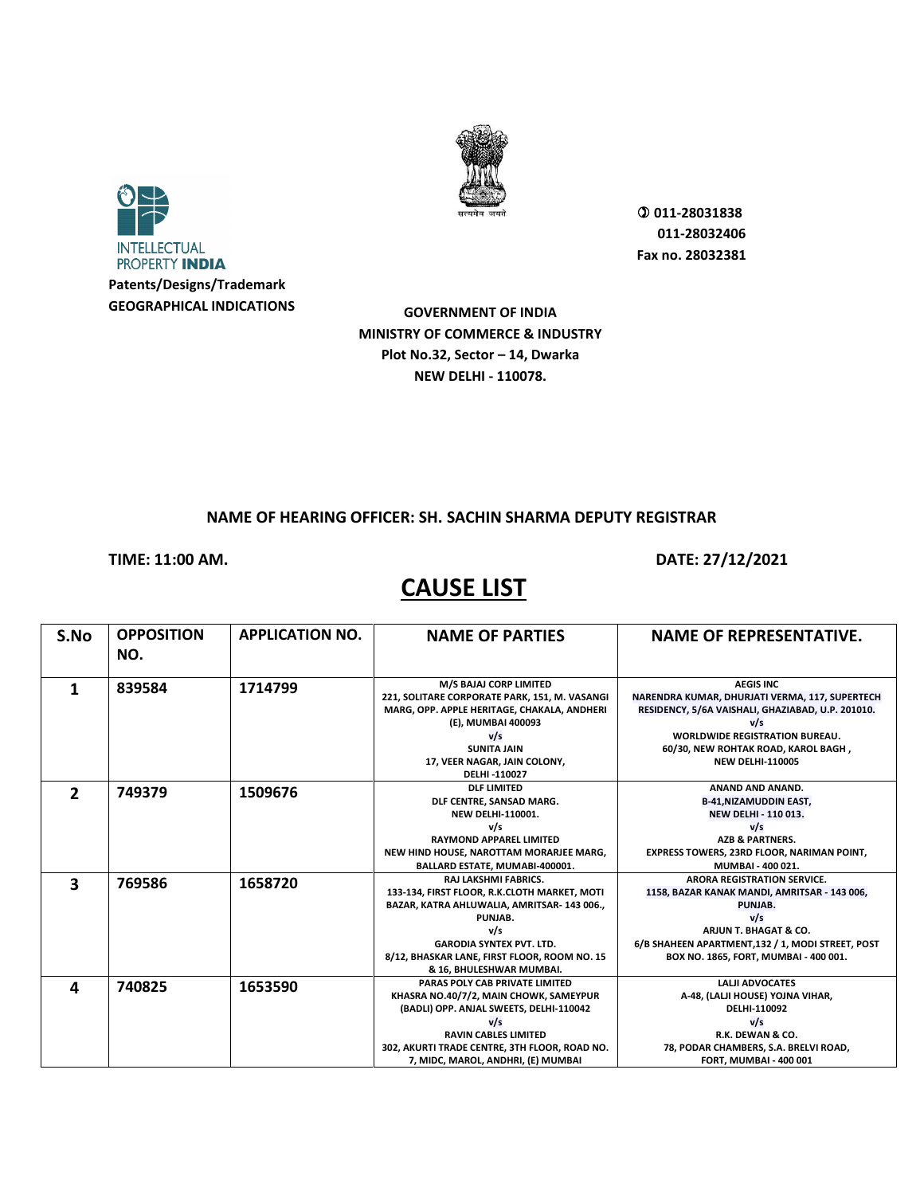



**GOVERNMENT OF INDIA MINISTRY OF COMMERCE & INDUSTRY Plot No.32, Sector – 14, Dwarka NEW DELHI - 110078.**

#### **NAME OF HEARING OFFICER: SH. SACHIN SHARMA DEPUTY REGISTRAR**

**TIME: 11:00 AM. DATE: 27/12/2021** 

| S.No           | <b>OPPOSITION</b><br>NO. | <b>APPLICATION NO.</b> | <b>NAME OF PARTIES</b>                                                  | <b>NAME OF REPRESENTATIVE.</b>                                     |
|----------------|--------------------------|------------------------|-------------------------------------------------------------------------|--------------------------------------------------------------------|
|                | 839584                   | 1714799                | M/S BAJAJ CORP LIMITED<br>221, SOLITARE CORPORATE PARK, 151, M. VASANGI | <b>AEGIS INC</b><br>NARENDRA KUMAR, DHURJATI VERMA, 117, SUPERTECH |
|                |                          |                        | MARG, OPP. APPLE HERITAGE, CHAKALA, ANDHERI<br>(E), MUMBAI 400093       | RESIDENCY, 5/6A VAISHALI, GHAZIABAD, U.P. 201010.<br>V/s           |
|                |                          |                        | V/s                                                                     | <b>WORLDWIDE REGISTRATION BUREAU.</b>                              |
|                |                          |                        | <b>SUNITA JAIN</b>                                                      | 60/30, NEW ROHTAK ROAD, KAROL BAGH,                                |
|                |                          |                        | 17, VEER NAGAR, JAIN COLONY,                                            | <b>NEW DELHI-110005</b>                                            |
|                |                          |                        | DELHI-110027                                                            |                                                                    |
| $\overline{2}$ | 749379                   | 1509676                | <b>DLF LIMITED</b>                                                      | ANAND AND ANAND.                                                   |
|                |                          |                        | DLF CENTRE, SANSAD MARG.                                                | <b>B-41, NIZAMUDDIN EAST,</b>                                      |
|                |                          |                        | <b>NEW DELHI-110001.</b>                                                | NEW DELHI - 110 013.                                               |
|                |                          |                        | v/s                                                                     | v/s                                                                |
|                |                          |                        | <b>RAYMOND APPAREL LIMITED</b>                                          | <b>AZB &amp; PARTNERS.</b>                                         |
|                |                          |                        | NEW HIND HOUSE, NAROTTAM MORARJEE MARG,                                 | <b>EXPRESS TOWERS, 23RD FLOOR, NARIMAN POINT,</b>                  |
|                |                          |                        | BALLARD ESTATE, MUMABI-400001.                                          | MUMBAI - 400 021.                                                  |
| 3              | 769586                   | 1658720                | <b>RAJ LAKSHMI FABRICS.</b>                                             | <b>ARORA REGISTRATION SERVICE.</b>                                 |
|                |                          |                        | 133-134, FIRST FLOOR, R.K.CLOTH MARKET, MOTI                            | 1158, BAZAR KANAK MANDI, AMRITSAR - 143 006,                       |
|                |                          |                        | BAZAR, KATRA AHLUWALIA, AMRITSAR-143 006.,                              | PUNJAB.                                                            |
|                |                          |                        | PUNJAB.<br>v/s                                                          | v/s<br>ARJUN T. BHAGAT & CO.                                       |
|                |                          |                        | <b>GARODIA SYNTEX PVT. LTD.</b>                                         | 6/B SHAHEEN APARTMENT,132 / 1, MODI STREET, POST                   |
|                |                          |                        | 8/12, BHASKAR LANE, FIRST FLOOR, ROOM NO. 15                            | BOX NO. 1865, FORT, MUMBAI - 400 001.                              |
|                |                          |                        | & 16, BHULESHWAR MUMBAI.                                                |                                                                    |
|                |                          |                        | PARAS POLY CAB PRIVATE LIMITED                                          | <b>LALII ADVOCATES</b>                                             |
| 4              | 740825                   | 1653590                | KHASRA NO.40/7/2, MAIN CHOWK, SAMEYPUR                                  | A-48, (LALJI HOUSE) YOJNA VIHAR,                                   |
|                |                          |                        | (BADLI) OPP. ANJAL SWEETS, DELHI-110042                                 | DELHI-110092                                                       |
|                |                          |                        | v/s                                                                     | v/s                                                                |
|                |                          |                        | <b>RAVIN CABLES LIMITED</b>                                             | R.K. DEWAN & CO.                                                   |
|                |                          |                        | 302, AKURTI TRADE CENTRE, 3TH FLOOR, ROAD NO.                           | 78, PODAR CHAMBERS, S.A. BRELVI ROAD,                              |
|                |                          |                        | 7, MIDC, MAROL, ANDHRI, (E) MUMBAI                                      | FORT, MUMBAI - 400 001                                             |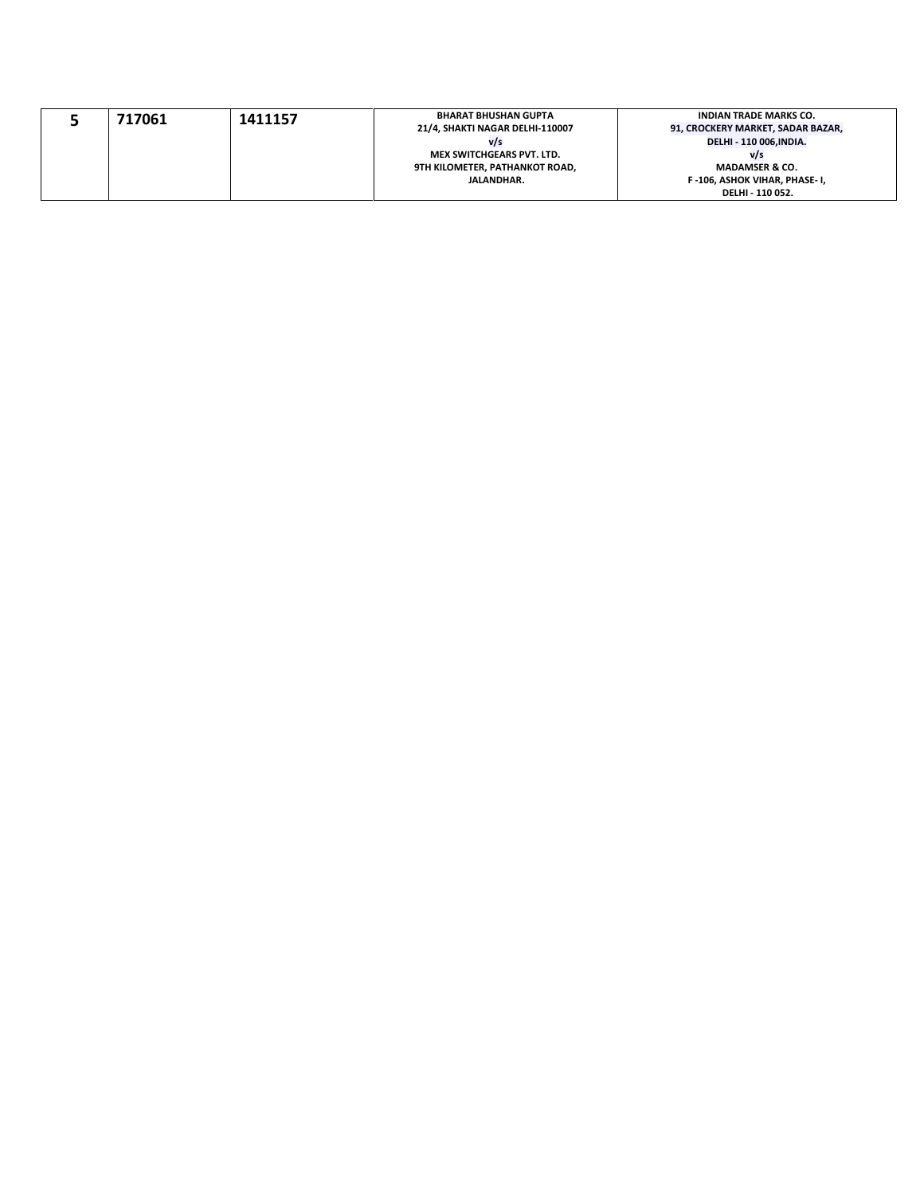|  | 717061 | 1411157                         | <b>BHARAT BHUSHAN GUPTA</b>       | <b>INDIAN TRADE MARKS CO.</b> |
|--|--------|---------------------------------|-----------------------------------|-------------------------------|
|  |        | 21/4, SHAKTI NAGAR DELHI-110007 | 91, CROCKERY MARKET, SADAR BAZAR, |                               |
|  |        |                                 | V/S                               | DELHI - 110 006, INDIA.       |
|  |        |                                 | <b>MEX SWITCHGEARS PVT. LTD.</b>  | v/s                           |
|  |        |                                 | 9TH KILOMETER, PATHANKOT ROAD,    | <b>MADAMSER &amp; CO.</b>     |
|  |        |                                 | JALANDHAR.                        | F-106, ASHOK VIHAR, PHASE-I,  |
|  |        |                                 |                                   | DELHI - 110 052.              |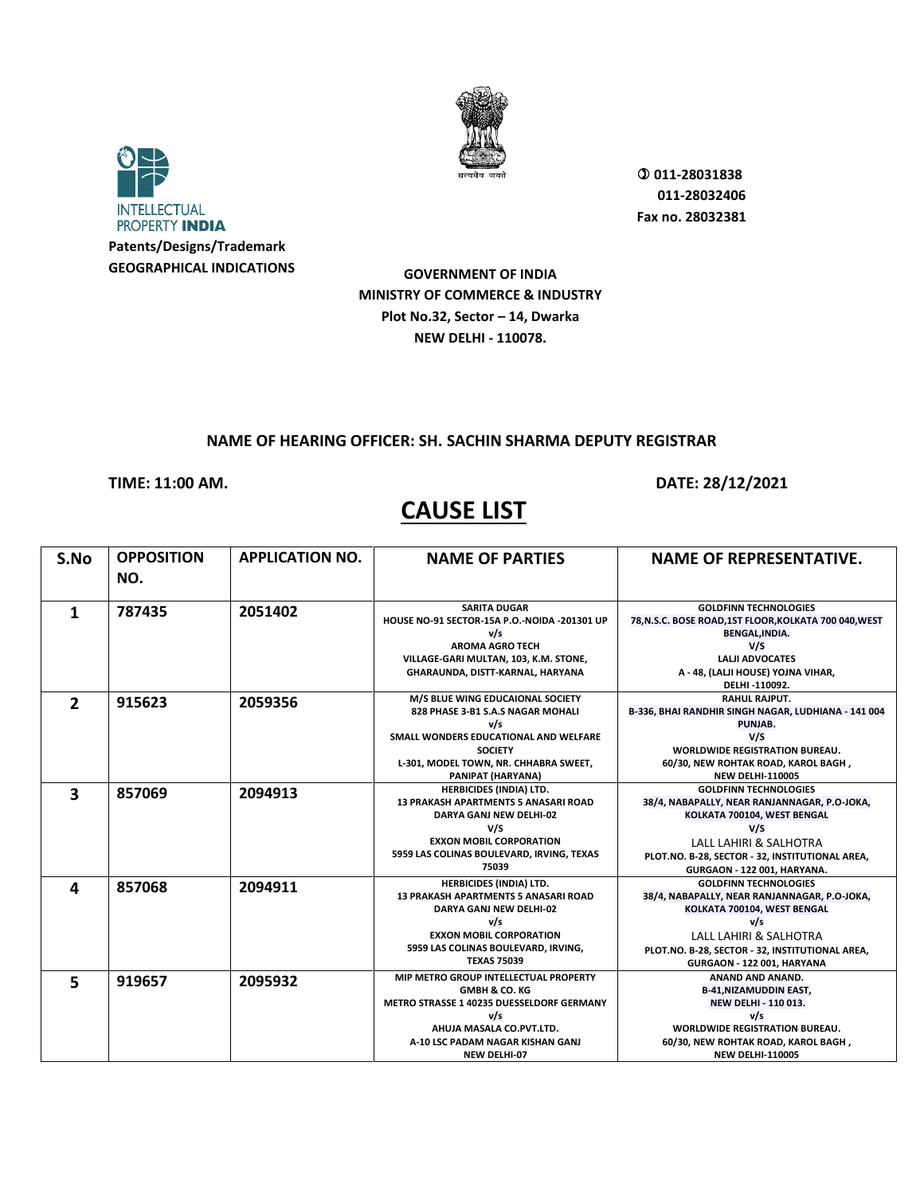



 **011-28031838 011-28032406 Fax no. 28032381**

**GOVERNMENT OF INDIA MINISTRY OF COMMERCE & INDUSTRY Plot No.32, Sector – 14, Dwarka NEW DELHI - 110078.**

#### **NAME OF HEARING OFFICER: SH. SACHIN SHARMA DEPUTY REGISTRAR**

**TIME: 11:00 AM. DATE: 28/12/2021** 

| S.No           | <b>OPPOSITION</b> | <b>APPLICATION NO.</b> | <b>NAME OF PARTIES</b>                                                 | <b>NAME OF REPRESENTATIVE.</b>                                                  |
|----------------|-------------------|------------------------|------------------------------------------------------------------------|---------------------------------------------------------------------------------|
|                | NO.               |                        |                                                                        |                                                                                 |
| 1              | 787435            | 2051402                | <b>SARITA DUGAR</b>                                                    | <b>GOLDFINN TECHNOLOGIES</b>                                                    |
|                |                   |                        | HOUSE NO-91 SECTOR-15A P.O.-NOIDA -201301 UP<br>v/s                    | 78, N.S.C. BOSE ROAD, 1ST FLOOR, KOLKATA 700 040, WEST<br><b>BENGAL, INDIA.</b> |
|                |                   |                        | <b>AROMA AGRO TECH</b>                                                 | V/S                                                                             |
|                |                   |                        | VILLAGE-GARI MULTAN, 103, K.M. STONE,                                  | <b>LALJI ADVOCATES</b>                                                          |
|                |                   |                        | GHARAUNDA, DISTT-KARNAL, HARYANA                                       | A - 48, (LALJI HOUSE) YOJNA VIHAR,                                              |
|                |                   |                        |                                                                        | DELHI-110092.                                                                   |
| $\overline{2}$ | 915623            | 2059356                | M/S BLUE WING EDUCAIONAL SOCIETY                                       | <b>RAHUL RAJPUT.</b>                                                            |
|                |                   |                        | 828 PHASE 3-B1 S.A.S NAGAR MOHALI                                      | B-336, BHAI RANDHIR SINGH NAGAR, LUDHIANA - 141 004                             |
|                |                   |                        | v/s                                                                    | PUNJAB.                                                                         |
|                |                   |                        | SMALL WONDERS EDUCATIONAL AND WELFARE                                  | V/S                                                                             |
|                |                   |                        | <b>SOCIETY</b>                                                         | <b>WORLDWIDE REGISTRATION BUREAU.</b>                                           |
|                |                   |                        | L-301, MODEL TOWN, NR. CHHABRA SWEET,                                  | 60/30, NEW ROHTAK ROAD, KAROL BAGH,                                             |
|                |                   |                        | PANIPAT (HARYANA)                                                      | <b>NEW DELHI-110005</b>                                                         |
| 3              | 857069            | 2094913                | <b>HERBICIDES (INDIA) LTD.</b>                                         | <b>GOLDFINN TECHNOLOGIES</b>                                                    |
|                |                   |                        | <b>13 PRAKASH APARTMENTS 5 ANASARI ROAD</b><br>DARYA GANJ NEW DELHI-02 | 38/4, NABAPALLY, NEAR RANJANNAGAR, P.O-JOKA,<br>KOLKATA 700104, WEST BENGAL     |
|                |                   |                        | V/S                                                                    | V/S                                                                             |
|                |                   |                        | <b>EXXON MOBIL CORPORATION</b>                                         | <b>LALL LAHIRI &amp; SALHOTRA</b>                                               |
|                |                   |                        | 5959 LAS COLINAS BOULEVARD, IRVING, TEXAS                              |                                                                                 |
|                |                   |                        | 75039                                                                  | PLOT.NO. B-28, SECTOR - 32, INSTITUTIONAL AREA,<br>GURGAON - 122 001, HARYANA.  |
|                |                   |                        | <b>HERBICIDES (INDIA) LTD.</b>                                         | <b>GOLDFINN TECHNOLOGIES</b>                                                    |
| 4              | 857068            | 2094911                | <b>13 PRAKASH APARTMENTS 5 ANASARI ROAD</b>                            | 38/4, NABAPALLY, NEAR RANJANNAGAR, P.O-JOKA,                                    |
|                |                   |                        | DARYA GANJ NEW DELHI-02                                                | KOLKATA 700104, WEST BENGAL                                                     |
|                |                   |                        | v/s                                                                    | v/s                                                                             |
|                |                   |                        | <b>EXXON MOBIL CORPORATION</b>                                         | LALL LAHIRI & SALHOTRA                                                          |
|                |                   |                        | 5959 LAS COLINAS BOULEVARD, IRVING,                                    | PLOT.NO. B-28, SECTOR - 32, INSTITUTIONAL AREA,                                 |
|                |                   |                        | <b>TEXAS 75039</b>                                                     | GURGAON - 122 001, HARYANA                                                      |
| 5              | 919657            | 2095932                | MIP METRO GROUP INTELLECTUAL PROPERTY                                  | ANAND AND ANAND.                                                                |
|                |                   |                        | <b>GMBH &amp; CO. KG</b>                                               | <b>B-41,NIZAMUDDIN EAST,</b>                                                    |
|                |                   |                        | <b>METRO STRASSE 1 40235 DUESSELDORF GERMANY</b>                       | <b>NEW DELHI - 110 013.</b>                                                     |
|                |                   |                        | v/s                                                                    | v/s                                                                             |
|                |                   |                        | AHUJA MASALA CO.PVT.LTD.                                               | <b>WORLDWIDE REGISTRATION BUREAU.</b>                                           |
|                |                   |                        | A-10 LSC PADAM NAGAR KISHAN GANJ                                       | 60/30, NEW ROHTAK ROAD, KAROL BAGH,                                             |
|                |                   |                        | <b>NEW DELHI-07</b>                                                    | <b>NEW DELHI-110005</b>                                                         |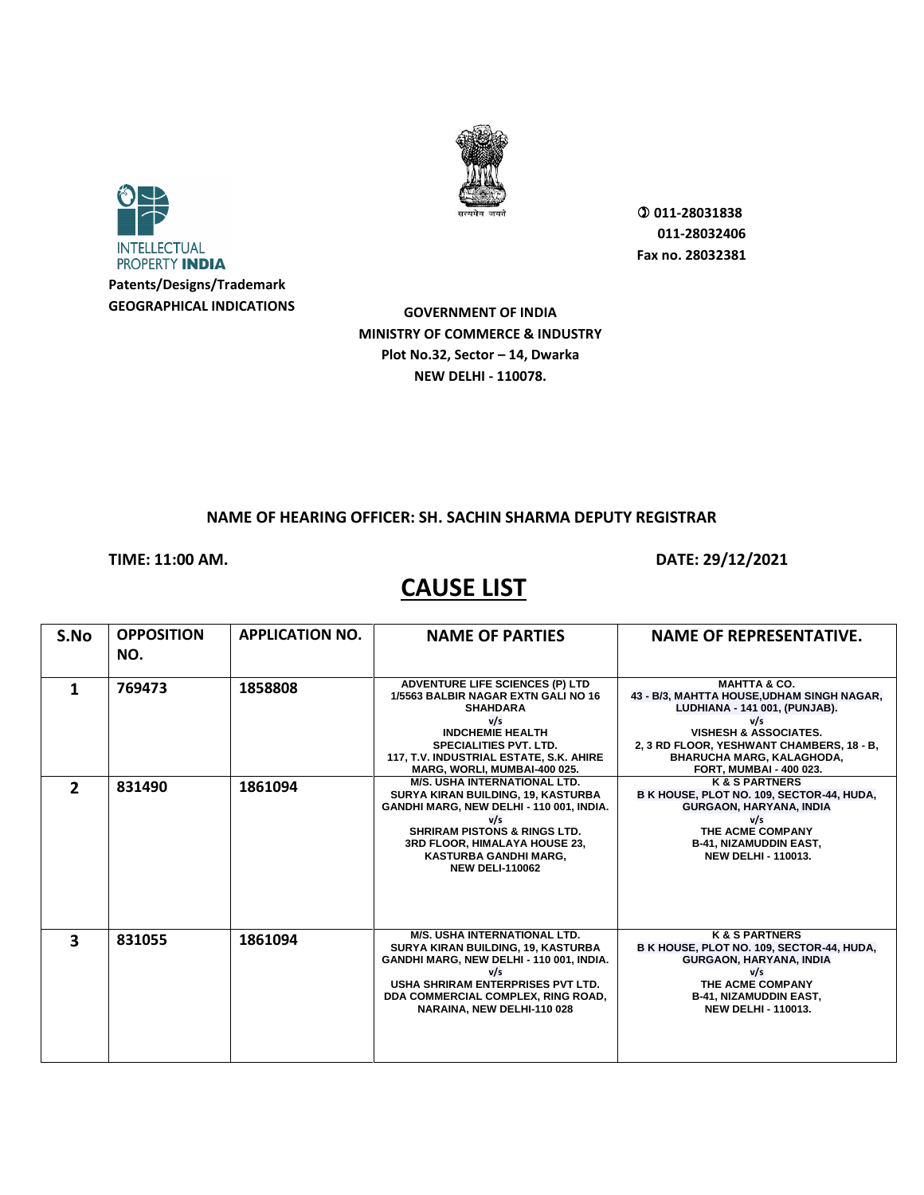



**GOVERNMENT OF INDIA MINISTRY OF COMMERCE & INDUSTRY Plot No.32, Sector – 14, Dwarka NEW DELHI - 110078.**

#### **NAME OF HEARING OFFICER: SH. SACHIN SHARMA DEPUTY REGISTRAR**

**CAUSE LIST** 

**TIME: 11:00 AM. DATE: 29/12/2021** 

| S.No          | <b>OPPOSITION</b> | <b>APPLICATION NO.</b> | <b>NAME OF PARTIES</b>                                                        | <b>NAME OF REPRESENTATIVE.</b>                                                |
|---------------|-------------------|------------------------|-------------------------------------------------------------------------------|-------------------------------------------------------------------------------|
|               | NO.               |                        |                                                                               |                                                                               |
|               |                   |                        |                                                                               |                                                                               |
| 1             | 769473            | 1858808                | <b>ADVENTURE LIFE SCIENCES (P) LTD</b><br>1/5563 BALBIR NAGAR EXTN GALI NO 16 | <b>MAHTTA &amp; CO.</b><br>43 - B/3, MAHTTA HOUSE, UDHAM SINGH NAGAR,         |
|               |                   |                        | <b>SHAHDARA</b>                                                               | LUDHIANA - 141 001, (PUNJAB).                                                 |
|               |                   |                        | v/s                                                                           | v/s                                                                           |
|               |                   |                        | <b>INDCHEMIE HEALTH</b>                                                       | <b>VISHESH &amp; ASSOCIATES.</b>                                              |
|               |                   |                        | <b>SPECIALITIES PVT. LTD.</b><br>117, T.V. INDUSTRIAL ESTATE, S.K. AHIRE      | 2, 3 RD FLOOR, YESHWANT CHAMBERS, 18 - B,<br><b>BHARUCHA MARG, KALAGHODA,</b> |
|               |                   |                        | MARG, WORLI, MUMBAI-400 025.                                                  | FORT, MUMBAI - 400 023.                                                       |
| $\mathcal{P}$ | 831490            | 1861094                | <b>M/S. USHA INTERNATIONAL LTD.</b>                                           | <b>K&amp;S PARTNERS</b>                                                       |
|               |                   |                        | SURYA KIRAN BUILDING, 19, KASTURBA                                            | B K HOUSE, PLOT NO. 109, SECTOR-44, HUDA,                                     |
|               |                   |                        | GANDHI MARG, NEW DELHI - 110 001, INDIA.<br>v/s                               | <b>GURGAON, HARYANA, INDIA</b><br>v/s                                         |
|               |                   |                        | <b>SHRIRAM PISTONS &amp; RINGS LTD.</b>                                       | THE ACME COMPANY                                                              |
|               |                   |                        | 3RD FLOOR, HIMALAYA HOUSE 23,                                                 | <b>B-41, NIZAMUDDIN EAST,</b>                                                 |
|               |                   |                        | <b>KASTURBA GANDHI MARG,</b>                                                  | <b>NEW DELHI - 110013.</b>                                                    |
|               |                   |                        | <b>NEW DELI-110062</b>                                                        |                                                                               |
|               |                   |                        |                                                                               |                                                                               |
|               |                   |                        |                                                                               |                                                                               |
|               |                   |                        |                                                                               |                                                                               |
| 3             | 831055            | 1861094                | <b>M/S. USHA INTERNATIONAL LTD.</b>                                           | <b>K&amp;S PARTNERS</b>                                                       |
|               |                   |                        | SURYA KIRAN BUILDING, 19, KASTURBA                                            | B K HOUSE, PLOT NO. 109, SECTOR-44, HUDA,                                     |
|               |                   |                        | GANDHI MARG, NEW DELHI - 110 001, INDIA.<br>v/s                               | <b>GURGAON, HARYANA, INDIA</b><br>v/s                                         |
|               |                   |                        | USHA SHRIRAM ENTERPRISES PVT LTD.                                             | THE ACME COMPANY                                                              |
|               |                   |                        | DDA COMMERCIAL COMPLEX, RING ROAD,                                            | <b>B-41, NIZAMUDDIN EAST,</b>                                                 |
|               |                   |                        | NARAINA, NEW DELHI-110 028                                                    | <b>NEW DELHI - 110013.</b>                                                    |
|               |                   |                        |                                                                               |                                                                               |
|               |                   |                        |                                                                               |                                                                               |
|               |                   |                        |                                                                               |                                                                               |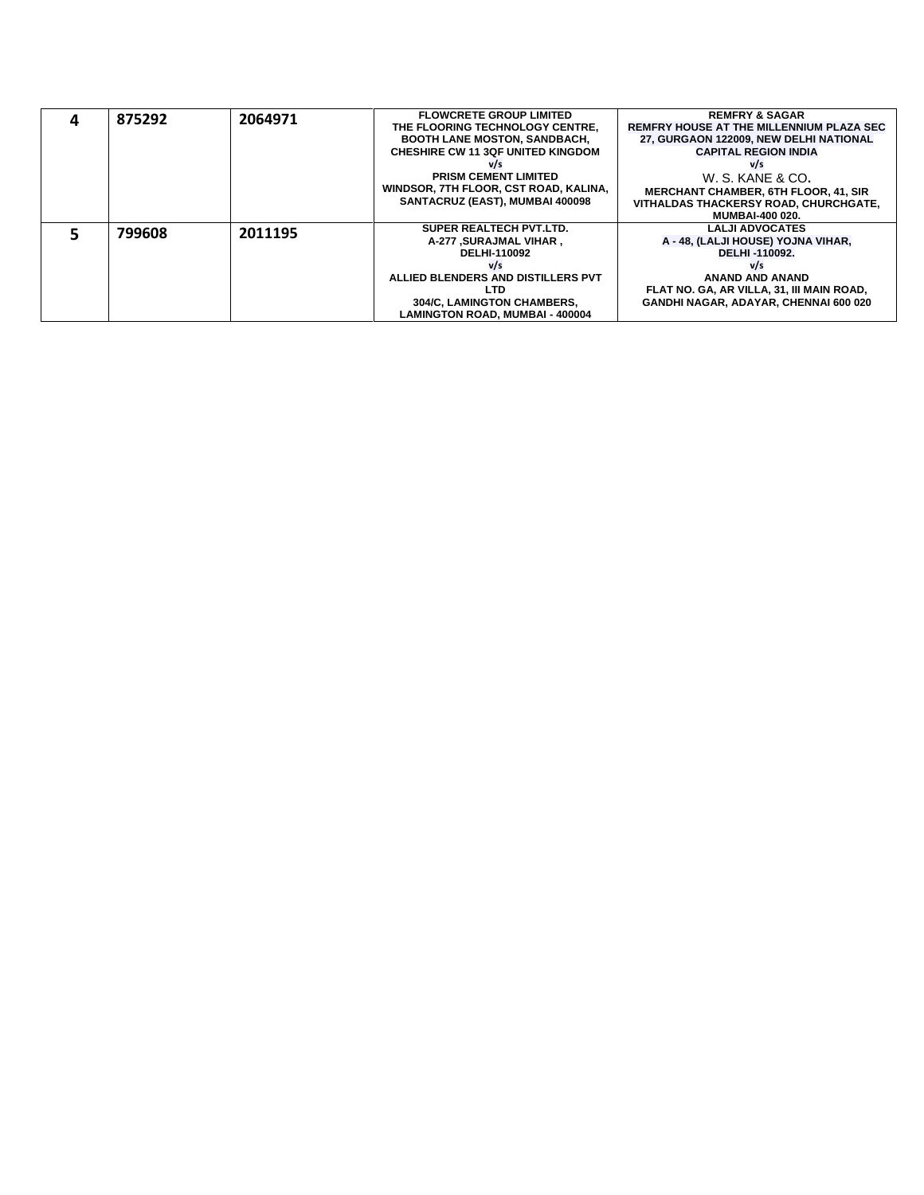|  | 875292<br>2064971 |         | <b>FLOWCRETE GROUP LIMITED</b>           | <b>REMFRY &amp; SAGAR</b>                       |
|--|-------------------|---------|------------------------------------------|-------------------------------------------------|
|  |                   |         | THE FLOORING TECHNOLOGY CENTRE.          | <b>REMFRY HOUSE AT THE MILLENNIUM PLAZA SEC</b> |
|  |                   |         | <b>BOOTH LANE MOSTON, SANDBACH,</b>      | 27, GURGAON 122009, NEW DELHI NATIONAL          |
|  |                   |         | <b>CHESHIRE CW 11 3QF UNITED KINGDOM</b> | <b>CAPITAL REGION INDIA</b>                     |
|  |                   |         | V/s                                      | v/s                                             |
|  |                   |         | <b>PRISM CEMENT LIMITED</b>              | W. S. KANE & CO.                                |
|  |                   |         | WINDSOR, 7TH FLOOR, CST ROAD, KALINA.    | <b>MERCHANT CHAMBER, 6TH FLOOR, 41, SIR</b>     |
|  |                   |         | SANTACRUZ (EAST), MUMBAI 400098          | VITHALDAS THACKERSY ROAD, CHURCHGATE,           |
|  |                   |         |                                          | <b>MUMBAI-400 020.</b>                          |
|  | 799608            | 2011195 | SUPER REALTECH PVT.LTD.                  | <b>LALJI ADVOCATES</b>                          |
|  |                   |         | A-277 , SURAJMAL VIHAR                   | A - 48, (LALJI HOUSE) YOJNA VIHAR,              |
|  |                   |         | DELHI-110092                             | DELHI-110092.                                   |
|  |                   |         | V/s                                      | V/s                                             |
|  |                   |         | ALLIED BLENDERS AND DISTILLERS PVT       | <b>ANAND AND ANAND</b>                          |
|  |                   |         | <b>LTD</b>                               | FLAT NO. GA, AR VILLA, 31, III MAIN ROAD,       |
|  |                   |         | <b>304/C. LAMINGTON CHAMBERS.</b>        | <b>GANDHI NAGAR, ADAYAR, CHENNAI 600 020</b>    |
|  |                   |         | <b>LAMINGTON ROAD, MUMBAI - 400004</b>   |                                                 |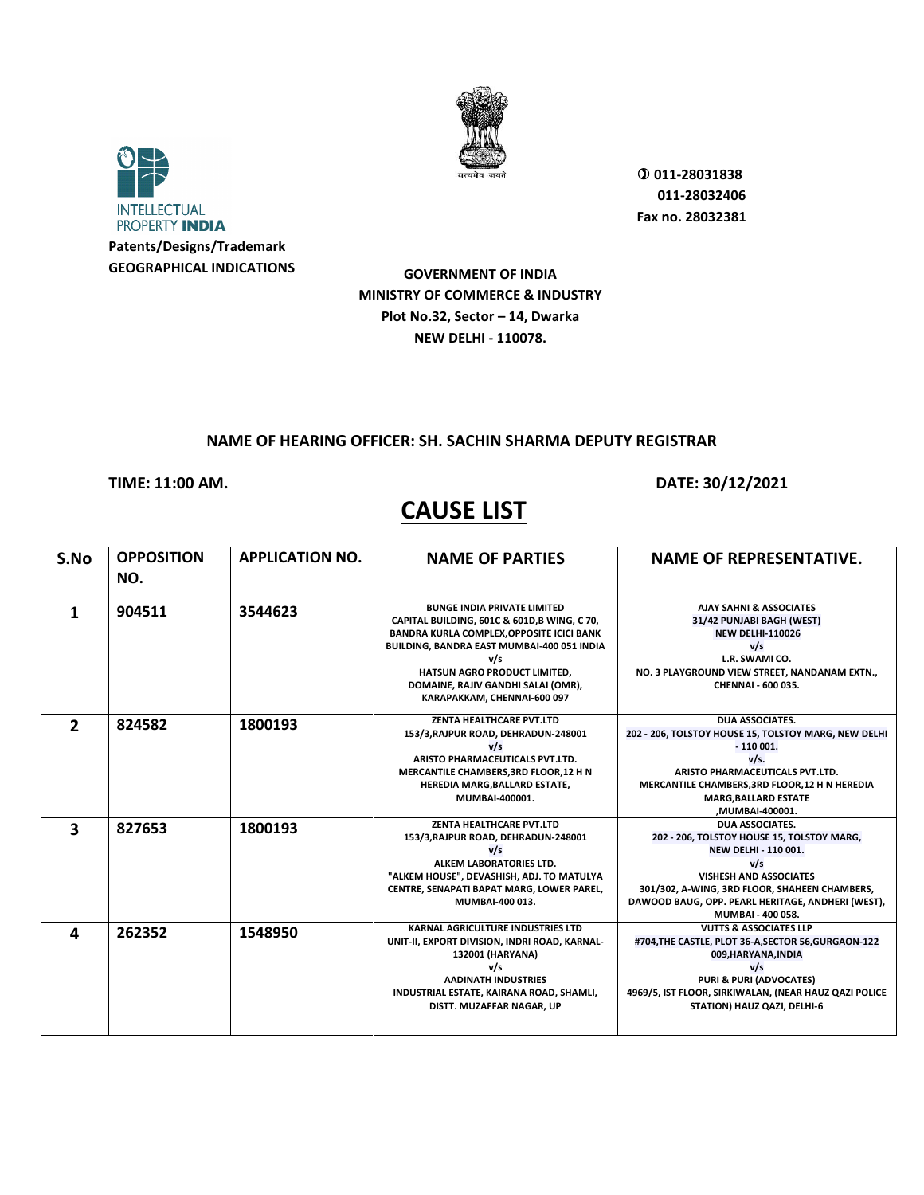



 **011-28031838 011-28032406 Fax no. 28032381**

**GOVERNMENT OF INDIA MINISTRY OF COMMERCE & INDUSTRY Plot No.32, Sector – 14, Dwarka NEW DELHI - 110078.**

#### **NAME OF HEARING OFFICER: SH. SACHIN SHARMA DEPUTY REGISTRAR**

**TIME: 11:00 AM. DATE: 30/12/2021** 

### **CAUSE LIST**

**S.No OPPOSITION NO. APPLICATION NO. NAME OF PARTIES NAME OF REPRESENTATIVE. 1 904511 3544623 BUNGE INDIA PRIVATE LIMITED**<br> **CAPITAL BUILDING, 601C & 601D,B WING, C 70, BANDRA KURLA COMPLEX,OPPOSITE ICICI BANK BUILDING, BANDRA EAST MUMBAI-400 051 INDIA v/s HATSUN AGRO PRODUCT LIMITED, DOMAINE, RAJIV GANDHI SALAI (OMR), KARAPAKKAM, CHENNAI-600 097 AJAY SAHNI & ASSOCIATES 31/42 PUNJABI BAGH (WEST) NEW DELHI-110026 v/s L.R. SWAMI CO. NO. 3 PLAYGROUND VIEW STREET, NANDANAM EXTN., CHENNAI - 600 035. 2 824582 1800193 ZENTA HEALTHCARE PVT.LTD 153/3,RAJPUR ROAD, DEHRADUN-248001 v/s ARISTO PHARMACEUTICALS PVT.LTD. MERCANTILE CHAMBERS,3RD FLOOR,12 H N HEREDIA MARG,BALLARD ESTATE, MUMBAI-400001. DUA ASSOCIATES. 202 - 206, TOLSTOY HOUSE 15, TOLSTOY MARG, NEW DELHI - 110 001. v/s. ARISTO PHARMACEUTICALS PVT.LTD. MERCANTILE CHAMBERS,3RD FLOOR,12 H N HEREDIA MARG,BALLARD ESTATE ,MUMBAI-400001. 3 827653 1800193 1800193 153/3,RAJPUR ROAD, DEHRADUN-248001 v/s ALKEM LABORATORIES LTD. "ALKEM HOUSE", DEVASHISH, ADJ. TO MATULYA CENTRE, SENAPATI BAPAT MARG, LOWER PAREL, MUMBAI-400 013. DUA ASSOCIATES. 202 - 206, TOLSTOY HOUSE 15, TOLSTOY MARG, NEW DELHI - 110 001. v/s VISHESH AND ASSOCIATES 301/302, A-WING, 3RD FLOOR, SHAHEEN CHAMBERS, DAWOOD BAUG, OPP. PEARL HERITAGE, ANDHERI (WEST), MUMBAI - 400 058. 4 262352 1548950 KARNAL AGRICULTURE INDUSTRIES LTD**<br>
UNIT-II, EXPORT DIVISION, INDRI ROAD, KARNAL-**132001 (HARYANA) v/s AADINATH INDUSTRIES INDUSTRIAL ESTATE, KAIRANA ROAD, SHAMLI, DISTT. MUZAFFAR NAGAR, UP VUTTS & ASSOCIATES LLP #704,THE CASTLE, PLOT 36-A,SECTOR 56,GURGAON-122 009,HARYANA,INDIA v/s PURI & PURI (ADVOCATES) 4969/5, IST FLOOR, SIRKIWALAN, (NEAR HAUZ QAZI POLICE** 

**STATION) HAUZ QAZI, DELHI-6**